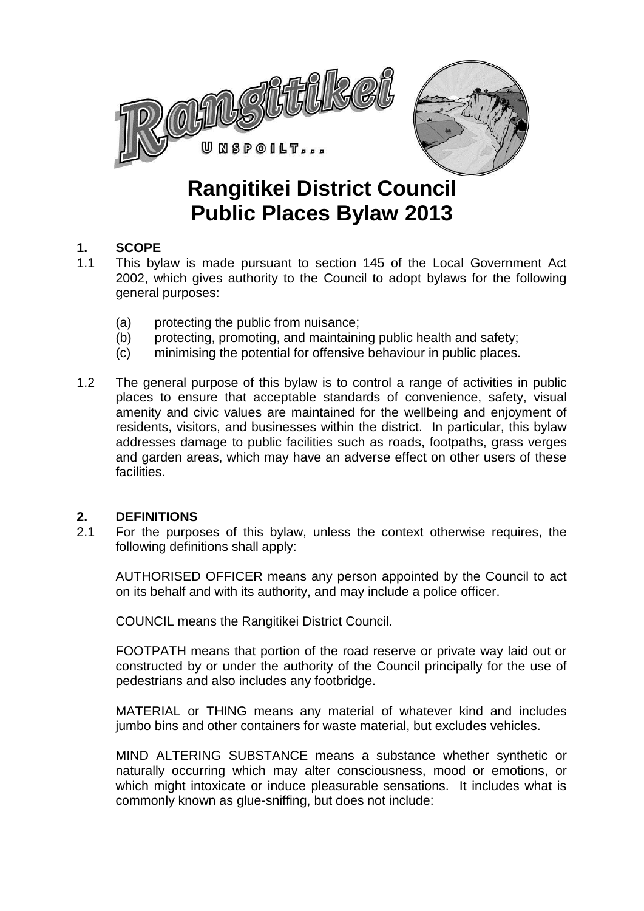

# **Rangitikei District Council Public Places Bylaw 2013**

# **1. SCOPE**

- 1.1 This bylaw is made pursuant to section 145 of the Local Government Act 2002, which gives authority to the Council to adopt bylaws for the following general purposes:
	- (a) protecting the public from nuisance;
	- (b) protecting, promoting, and maintaining public health and safety;
	- (c) minimising the potential for offensive behaviour in public places.
- 1.2 The general purpose of this bylaw is to control a range of activities in public places to ensure that acceptable standards of convenience, safety, visual amenity and civic values are maintained for the wellbeing and enjoyment of residents, visitors, and businesses within the district. In particular, this bylaw addresses damage to public facilities such as roads, footpaths, grass verges and garden areas, which may have an adverse effect on other users of these **facilities**

# **2. DEFINITIONS**

2.1 For the purposes of this bylaw, unless the context otherwise requires, the following definitions shall apply:

AUTHORISED OFFICER means any person appointed by the Council to act on its behalf and with its authority, and may include a police officer.

COUNCIL means the Rangitikei District Council.

FOOTPATH means that portion of the road reserve or private way laid out or constructed by or under the authority of the Council principally for the use of pedestrians and also includes any footbridge.

MATERIAL or THING means any material of whatever kind and includes jumbo bins and other containers for waste material, but excludes vehicles.

MIND ALTERING SUBSTANCE means a substance whether synthetic or naturally occurring which may alter consciousness, mood or emotions, or which might intoxicate or induce pleasurable sensations. It includes what is commonly known as glue-sniffing, but does not include: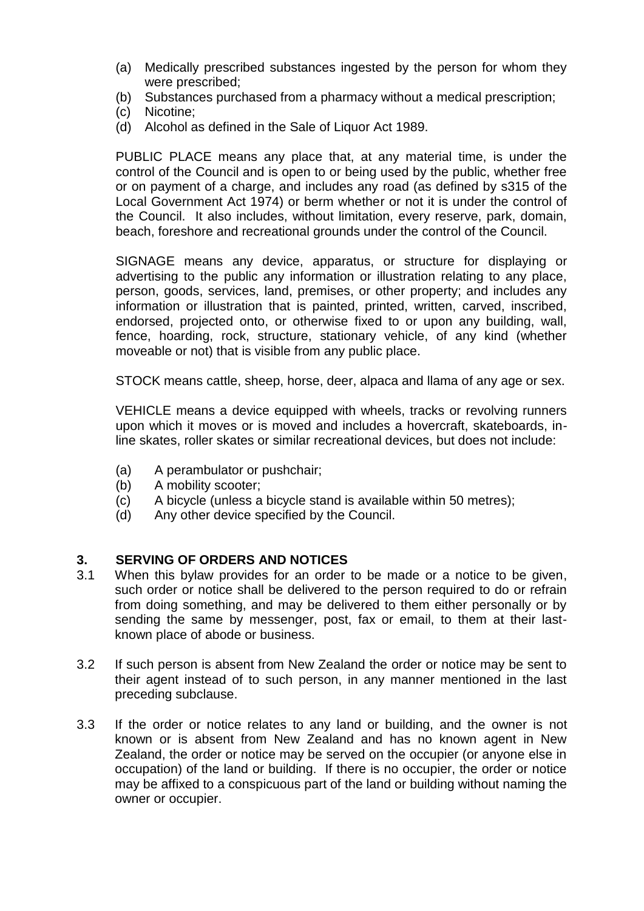- (a) Medically prescribed substances ingested by the person for whom they were prescribed;
- (b) Substances purchased from a pharmacy without a medical prescription;
- (c) Nicotine;
- (d) Alcohol as defined in the Sale of Liquor Act 1989.

PUBLIC PLACE means any place that, at any material time, is under the control of the Council and is open to or being used by the public, whether free or on payment of a charge, and includes any road (as defined by s315 of the Local Government Act 1974) or berm whether or not it is under the control of the Council. It also includes, without limitation, every reserve, park, domain, beach, foreshore and recreational grounds under the control of the Council.

SIGNAGE means any device, apparatus, or structure for displaying or advertising to the public any information or illustration relating to any place, person, goods, services, land, premises, or other property; and includes any information or illustration that is painted, printed, written, carved, inscribed, endorsed, projected onto, or otherwise fixed to or upon any building, wall, fence, hoarding, rock, structure, stationary vehicle, of any kind (whether moveable or not) that is visible from any public place.

STOCK means cattle, sheep, horse, deer, alpaca and llama of any age or sex.

VEHICLE means a device equipped with wheels, tracks or revolving runners upon which it moves or is moved and includes a hovercraft, skateboards, inline skates, roller skates or similar recreational devices, but does not include:

- (a) A perambulator or pushchair;
- (b) A mobility scooter;
- (c) A bicycle (unless a bicycle stand is available within 50 metres);
- (d) Any other device specified by the Council.

#### **3. SERVING OF ORDERS AND NOTICES**

- 3.1 When this bylaw provides for an order to be made or a notice to be given, such order or notice shall be delivered to the person required to do or refrain from doing something, and may be delivered to them either personally or by sending the same by messenger, post, fax or email, to them at their lastknown place of abode or business.
- 3.2 If such person is absent from New Zealand the order or notice may be sent to their agent instead of to such person, in any manner mentioned in the last preceding subclause.
- 3.3 If the order or notice relates to any land or building, and the owner is not known or is absent from New Zealand and has no known agent in New Zealand, the order or notice may be served on the occupier (or anyone else in occupation) of the land or building. If there is no occupier, the order or notice may be affixed to a conspicuous part of the land or building without naming the owner or occupier.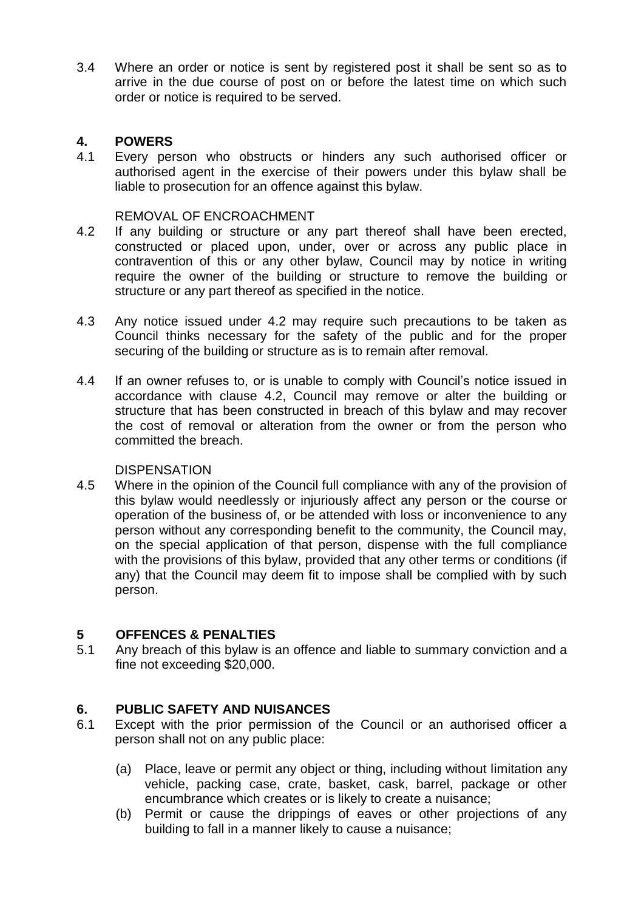3.4 Where an order or notice is sent by registered post it shall be sent so as to arrive in the due course of post on or before the latest time on which such order or notice is required to be served.

# **4. POWERS**

4.1 Every person who obstructs or hinders any such authorised officer or authorised agent in the exercise of their powers under this bylaw shall be liable to prosecution for an offence against this bylaw.

#### REMOVAL OF ENCROACHMENT

- 4.2 If any building or structure or any part thereof shall have been erected, constructed or placed upon, under, over or across any public place in contravention of this or any other bylaw, Council may by notice in writing require the owner of the building or structure to remove the building or structure or any part thereof as specified in the notice.
- 4.3 Any notice issued under 4.2 may require such precautions to be taken as Council thinks necessary for the safety of the public and for the proper securing of the building or structure as is to remain after removal.
- 4.4 If an owner refuses to, or is unable to comply with Council's notice issued in accordance with clause 4.2, Council may remove or alter the building or structure that has been constructed in breach of this bylaw and may recover the cost of removal or alteration from the owner or from the person who committed the breach.

#### DISPENSATION

4.5 Where in the opinion of the Council full compliance with any of the provision of this bylaw would needlessly or injuriously affect any person or the course or operation of the business of, or be attended with loss or inconvenience to any person without any corresponding benefit to the community, the Council may, on the special application of that person, dispense with the full compliance with the provisions of this bylaw, provided that any other terms or conditions (if any) that the Council may deem fit to impose shall be complied with by such person.

#### **5 OFFENCES & PENALTIES**

5.1 Any breach of this bylaw is an offence and liable to summary conviction and a fine not exceeding \$20,000.

#### **6. PUBLIC SAFETY AND NUISANCES**

- 6.1 Except with the prior permission of the Council or an authorised officer a person shall not on any public place:
	- (a) Place, leave or permit any object or thing, including without limitation any vehicle, packing case, crate, basket, cask, barrel, package or other encumbrance which creates or is likely to create a nuisance;
	- (b) Permit or cause the drippings of eaves or other projections of any building to fall in a manner likely to cause a nuisance;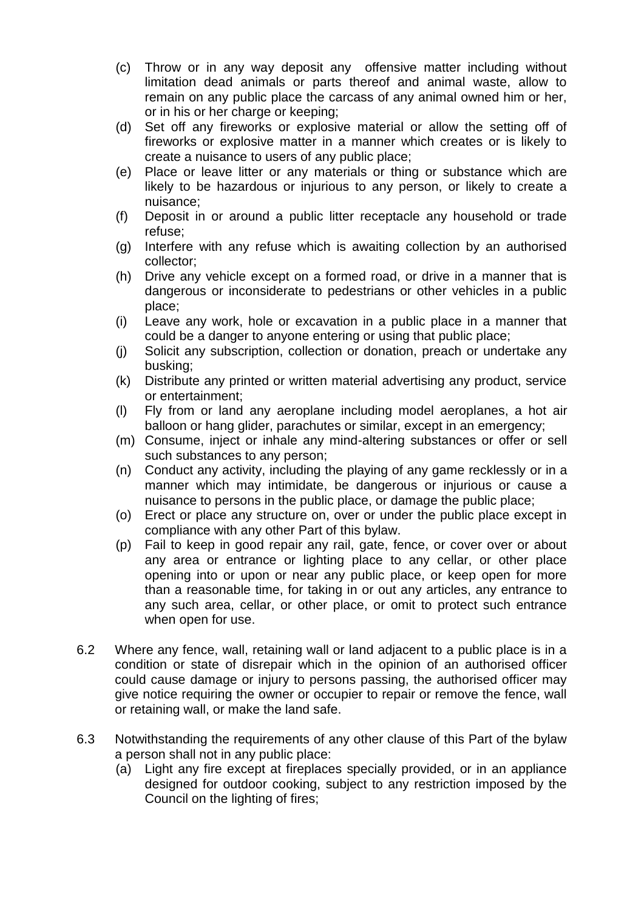- (c) Throw or in any way deposit any offensive matter including without limitation dead animals or parts thereof and animal waste, allow to remain on any public place the carcass of any animal owned him or her, or in his or her charge or keeping;
- (d) Set off any fireworks or explosive material or allow the setting off of fireworks or explosive matter in a manner which creates or is likely to create a nuisance to users of any public place;
- (e) Place or leave litter or any materials or thing or substance which are likely to be hazardous or injurious to any person, or likely to create a nuisance;
- (f) Deposit in or around a public litter receptacle any household or trade refuse;
- (g) Interfere with any refuse which is awaiting collection by an authorised collector;
- (h) Drive any vehicle except on a formed road, or drive in a manner that is dangerous or inconsiderate to pedestrians or other vehicles in a public place;
- (i) Leave any work, hole or excavation in a public place in a manner that could be a danger to anyone entering or using that public place;
- (j) Solicit any subscription, collection or donation, preach or undertake any busking;
- (k) Distribute any printed or written material advertising any product, service or entertainment;
- (l) Fly from or land any aeroplane including model aeroplanes, a hot air balloon or hang glider, parachutes or similar, except in an emergency;
- (m) Consume, inject or inhale any mind-altering substances or offer or sell such substances to any person;
- (n) Conduct any activity, including the playing of any game recklessly or in a manner which may intimidate, be dangerous or injurious or cause a nuisance to persons in the public place, or damage the public place;
- (o) Erect or place any structure on, over or under the public place except in compliance with any other Part of this bylaw.
- (p) Fail to keep in good repair any rail, gate, fence, or cover over or about any area or entrance or lighting place to any cellar, or other place opening into or upon or near any public place, or keep open for more than a reasonable time, for taking in or out any articles, any entrance to any such area, cellar, or other place, or omit to protect such entrance when open for use.
- 6.2 Where any fence, wall, retaining wall or land adjacent to a public place is in a condition or state of disrepair which in the opinion of an authorised officer could cause damage or injury to persons passing, the authorised officer may give notice requiring the owner or occupier to repair or remove the fence, wall or retaining wall, or make the land safe.
- 6.3 Notwithstanding the requirements of any other clause of this Part of the bylaw a person shall not in any public place:
	- (a) Light any fire except at fireplaces specially provided, or in an appliance designed for outdoor cooking, subject to any restriction imposed by the Council on the lighting of fires;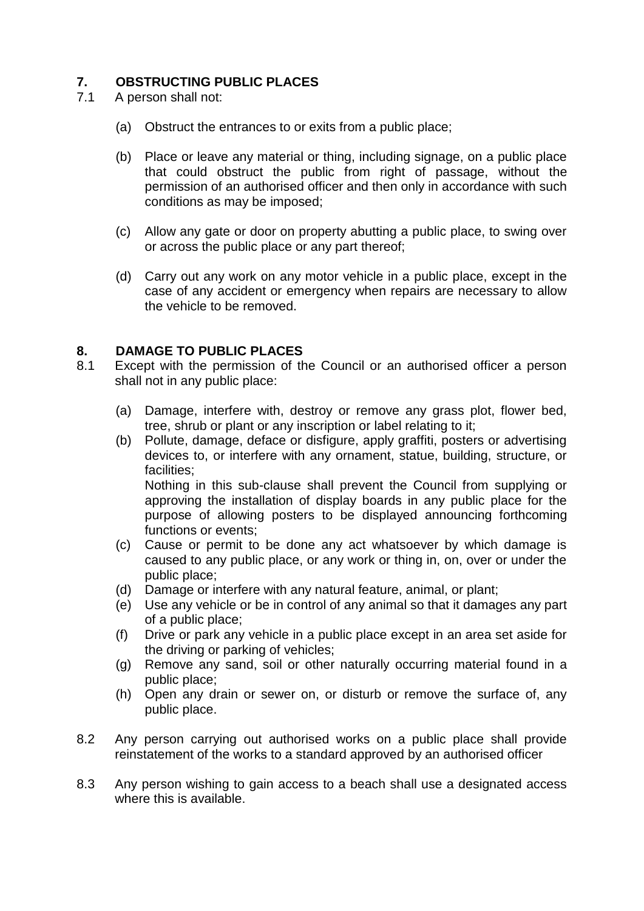# **7. OBSTRUCTING PUBLIC PLACES**

- 7.1 A person shall not:
	- (a) Obstruct the entrances to or exits from a public place;
	- (b) Place or leave any material or thing, including signage, on a public place that could obstruct the public from right of passage, without the permission of an authorised officer and then only in accordance with such conditions as may be imposed;
	- (c) Allow any gate or door on property abutting a public place, to swing over or across the public place or any part thereof;
	- (d) Carry out any work on any motor vehicle in a public place, except in the case of any accident or emergency when repairs are necessary to allow the vehicle to be removed.

# **8. DAMAGE TO PUBLIC PLACES**

- 8.1 Except with the permission of the Council or an authorised officer a person shall not in any public place:
	- (a) Damage, interfere with, destroy or remove any grass plot, flower bed, tree, shrub or plant or any inscription or label relating to it;
	- (b) Pollute, damage, deface or disfigure, apply graffiti, posters or advertising devices to, or interfere with any ornament, statue, building, structure, or facilities; Nothing in this sub-clause shall prevent the Council from supplying or approving the installation of display boards in any public place for the purpose of allowing posters to be displayed announcing forthcoming functions or events;
	- (c) Cause or permit to be done any act whatsoever by which damage is caused to any public place, or any work or thing in, on, over or under the public place;
	- (d) Damage or interfere with any natural feature, animal, or plant;
	- (e) Use any vehicle or be in control of any animal so that it damages any part of a public place;
	- (f) Drive or park any vehicle in a public place except in an area set aside for the driving or parking of vehicles;
	- (g) Remove any sand, soil or other naturally occurring material found in a public place;
	- (h) Open any drain or sewer on, or disturb or remove the surface of, any public place.
- 8.2 Any person carrying out authorised works on a public place shall provide reinstatement of the works to a standard approved by an authorised officer
- 8.3 Any person wishing to gain access to a beach shall use a designated access where this is available.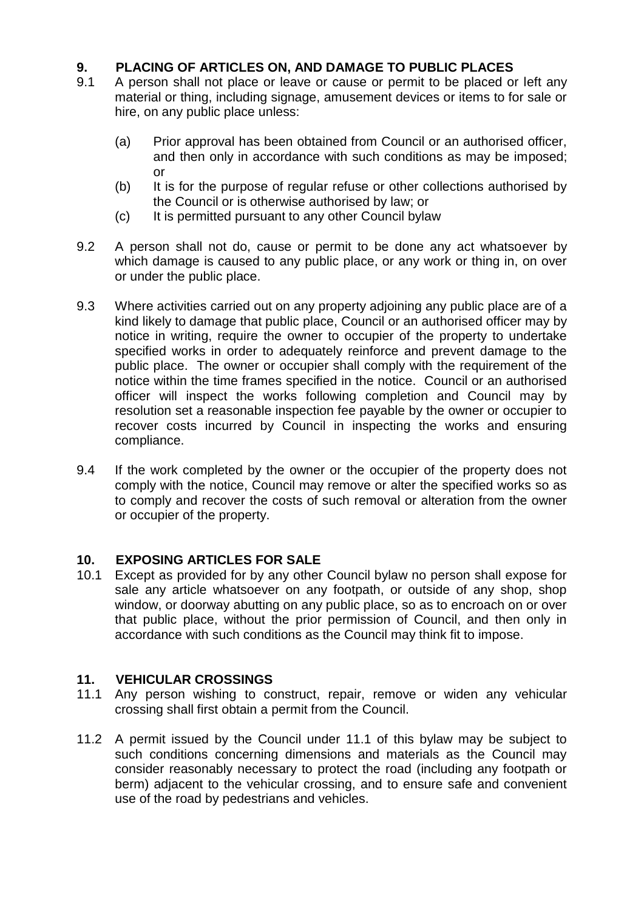# **9. PLACING OF ARTICLES ON, AND DAMAGE TO PUBLIC PLACES**

- 9.1 A person shall not place or leave or cause or permit to be placed or left any material or thing, including signage, amusement devices or items to for sale or hire, on any public place unless:
	- (a) Prior approval has been obtained from Council or an authorised officer, and then only in accordance with such conditions as may be imposed; or
	- (b) It is for the purpose of regular refuse or other collections authorised by the Council or is otherwise authorised by law; or
	- (c) It is permitted pursuant to any other Council bylaw
- 9.2 A person shall not do, cause or permit to be done any act whatsoever by which damage is caused to any public place, or any work or thing in, on over or under the public place.
- 9.3 Where activities carried out on any property adjoining any public place are of a kind likely to damage that public place, Council or an authorised officer may by notice in writing, require the owner to occupier of the property to undertake specified works in order to adequately reinforce and prevent damage to the public place. The owner or occupier shall comply with the requirement of the notice within the time frames specified in the notice. Council or an authorised officer will inspect the works following completion and Council may by resolution set a reasonable inspection fee payable by the owner or occupier to recover costs incurred by Council in inspecting the works and ensuring compliance.
- 9.4 If the work completed by the owner or the occupier of the property does not comply with the notice, Council may remove or alter the specified works so as to comply and recover the costs of such removal or alteration from the owner or occupier of the property.

# **10. EXPOSING ARTICLES FOR SALE**

10.1 Except as provided for by any other Council bylaw no person shall expose for sale any article whatsoever on any footpath, or outside of any shop, shop window, or doorway abutting on any public place, so as to encroach on or over that public place, without the prior permission of Council, and then only in accordance with such conditions as the Council may think fit to impose.

# **11. VEHICULAR CROSSINGS**

- 11.1 Any person wishing to construct, repair, remove or widen any vehicular crossing shall first obtain a permit from the Council.
- 11.2 A permit issued by the Council under 11.1 of this bylaw may be subject to such conditions concerning dimensions and materials as the Council may consider reasonably necessary to protect the road (including any footpath or berm) adjacent to the vehicular crossing, and to ensure safe and convenient use of the road by pedestrians and vehicles.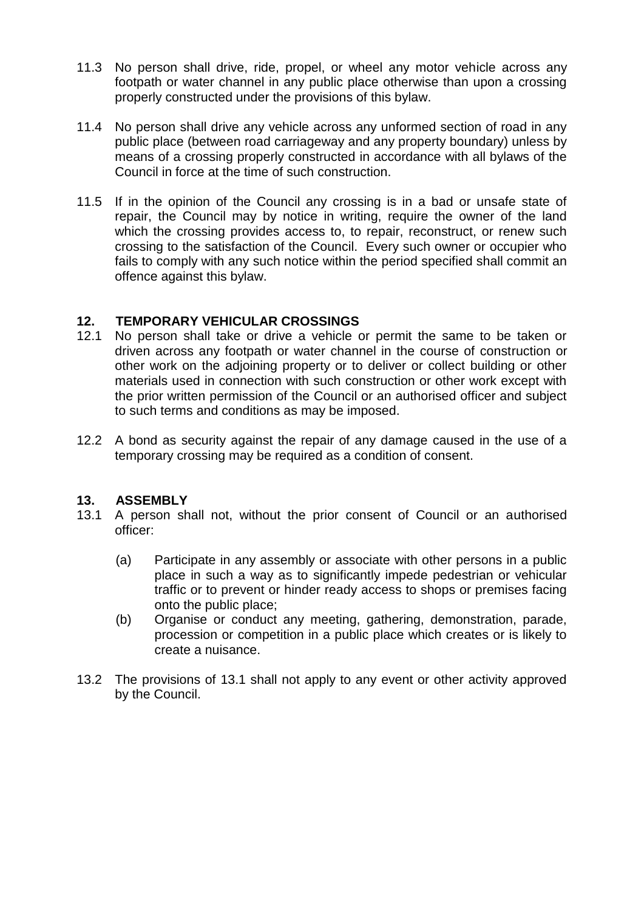- 11.3 No person shall drive, ride, propel, or wheel any motor vehicle across any footpath or water channel in any public place otherwise than upon a crossing properly constructed under the provisions of this bylaw.
- 11.4 No person shall drive any vehicle across any unformed section of road in any public place (between road carriageway and any property boundary) unless by means of a crossing properly constructed in accordance with all bylaws of the Council in force at the time of such construction.
- 11.5 If in the opinion of the Council any crossing is in a bad or unsafe state of repair, the Council may by notice in writing, require the owner of the land which the crossing provides access to, to repair, reconstruct, or renew such crossing to the satisfaction of the Council. Every such owner or occupier who fails to comply with any such notice within the period specified shall commit an offence against this bylaw.

# **12. TEMPORARY VEHICULAR CROSSINGS**

- 12.1 No person shall take or drive a vehicle or permit the same to be taken or driven across any footpath or water channel in the course of construction or other work on the adjoining property or to deliver or collect building or other materials used in connection with such construction or other work except with the prior written permission of the Council or an authorised officer and subject to such terms and conditions as may be imposed.
- 12.2 A bond as security against the repair of any damage caused in the use of a temporary crossing may be required as a condition of consent.

#### **13. ASSEMBLY**

- 13.1 A person shall not, without the prior consent of Council or an authorised officer:
	- (a) Participate in any assembly or associate with other persons in a public place in such a way as to significantly impede pedestrian or vehicular traffic or to prevent or hinder ready access to shops or premises facing onto the public place;
	- (b) Organise or conduct any meeting, gathering, demonstration, parade, procession or competition in a public place which creates or is likely to create a nuisance.
- 13.2 The provisions of 13.1 shall not apply to any event or other activity approved by the Council.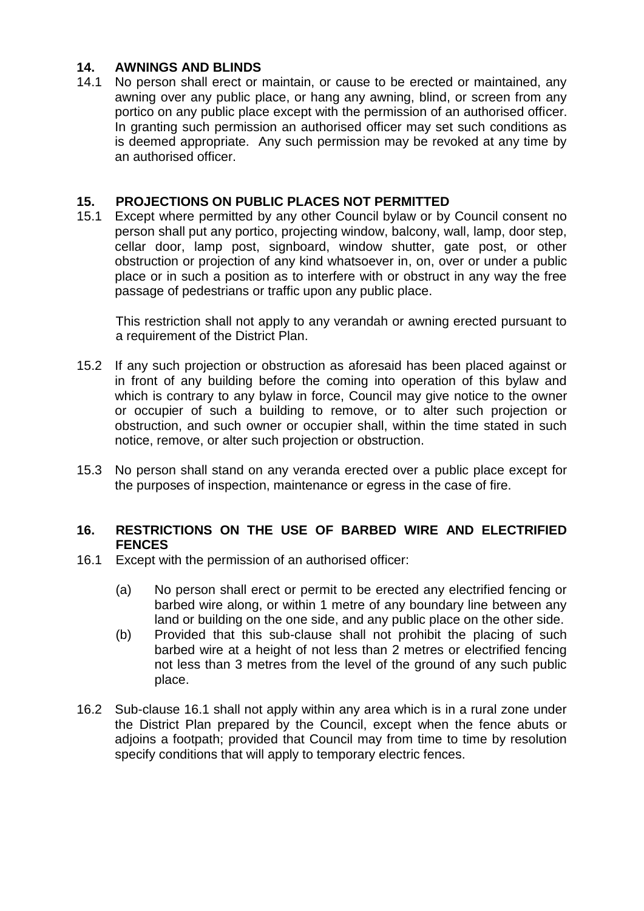# **14. AWNINGS AND BLINDS**

14.1 No person shall erect or maintain, or cause to be erected or maintained, any awning over any public place, or hang any awning, blind, or screen from any portico on any public place except with the permission of an authorised officer. In granting such permission an authorised officer may set such conditions as is deemed appropriate. Any such permission may be revoked at any time by an authorised officer.

# **15. PROJECTIONS ON PUBLIC PLACES NOT PERMITTED**

15.1 Except where permitted by any other Council bylaw or by Council consent no person shall put any portico, projecting window, balcony, wall, lamp, door step, cellar door, lamp post, signboard, window shutter, gate post, or other obstruction or projection of any kind whatsoever in, on, over or under a public place or in such a position as to interfere with or obstruct in any way the free passage of pedestrians or traffic upon any public place.

This restriction shall not apply to any verandah or awning erected pursuant to a requirement of the District Plan.

- 15.2 If any such projection or obstruction as aforesaid has been placed against or in front of any building before the coming into operation of this bylaw and which is contrary to any bylaw in force, Council may give notice to the owner or occupier of such a building to remove, or to alter such projection or obstruction, and such owner or occupier shall, within the time stated in such notice, remove, or alter such projection or obstruction.
- 15.3 No person shall stand on any veranda erected over a public place except for the purposes of inspection, maintenance or egress in the case of fire.

#### **16. RESTRICTIONS ON THE USE OF BARBED WIRE AND ELECTRIFIED FENCES**

- 16.1 Except with the permission of an authorised officer:
	- (a) No person shall erect or permit to be erected any electrified fencing or barbed wire along, or within 1 metre of any boundary line between any land or building on the one side, and any public place on the other side.
	- (b) Provided that this sub-clause shall not prohibit the placing of such barbed wire at a height of not less than 2 metres or electrified fencing not less than 3 metres from the level of the ground of any such public place.
- 16.2 Sub-clause 16.1 shall not apply within any area which is in a rural zone under the District Plan prepared by the Council, except when the fence abuts or adjoins a footpath; provided that Council may from time to time by resolution specify conditions that will apply to temporary electric fences.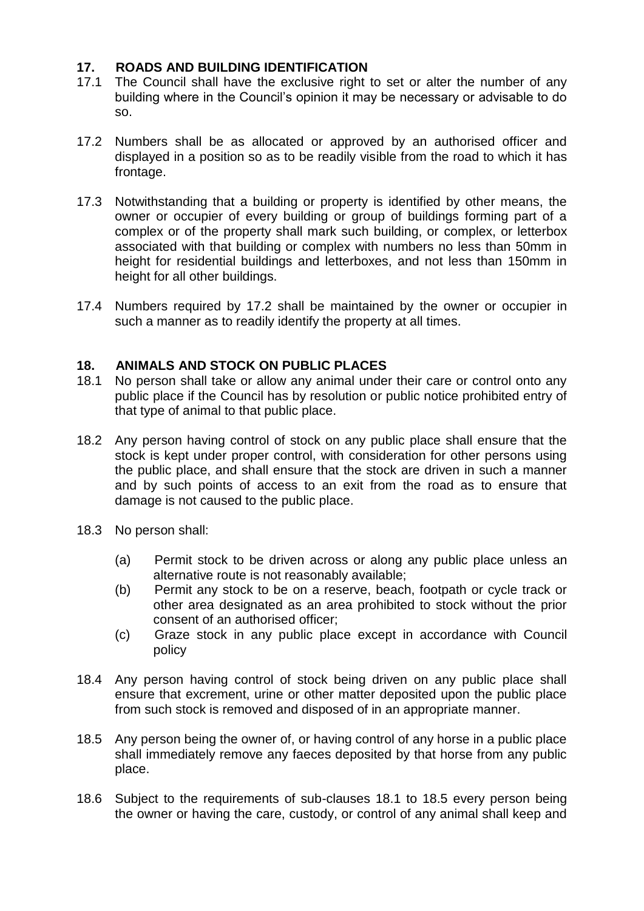# **17. ROADS AND BUILDING IDENTIFICATION**

- 17.1 The Council shall have the exclusive right to set or alter the number of any building where in the Council's opinion it may be necessary or advisable to do so.
- 17.2 Numbers shall be as allocated or approved by an authorised officer and displayed in a position so as to be readily visible from the road to which it has frontage.
- 17.3 Notwithstanding that a building or property is identified by other means, the owner or occupier of every building or group of buildings forming part of a complex or of the property shall mark such building, or complex, or letterbox associated with that building or complex with numbers no less than 50mm in height for residential buildings and letterboxes, and not less than 150mm in height for all other buildings.
- 17.4 Numbers required by 17.2 shall be maintained by the owner or occupier in such a manner as to readily identify the property at all times.

# **18. ANIMALS AND STOCK ON PUBLIC PLACES**

- 18.1 No person shall take or allow any animal under their care or control onto any public place if the Council has by resolution or public notice prohibited entry of that type of animal to that public place.
- 18.2 Any person having control of stock on any public place shall ensure that the stock is kept under proper control, with consideration for other persons using the public place, and shall ensure that the stock are driven in such a manner and by such points of access to an exit from the road as to ensure that damage is not caused to the public place.
- 18.3 No person shall:
	- (a) Permit stock to be driven across or along any public place unless an alternative route is not reasonably available;
	- (b) Permit any stock to be on a reserve, beach, footpath or cycle track or other area designated as an area prohibited to stock without the prior consent of an authorised officer;
	- (c) Graze stock in any public place except in accordance with Council policy
- 18.4 Any person having control of stock being driven on any public place shall ensure that excrement, urine or other matter deposited upon the public place from such stock is removed and disposed of in an appropriate manner.
- 18.5 Any person being the owner of, or having control of any horse in a public place shall immediately remove any faeces deposited by that horse from any public place.
- 18.6 Subject to the requirements of sub-clauses 18.1 to 18.5 every person being the owner or having the care, custody, or control of any animal shall keep and